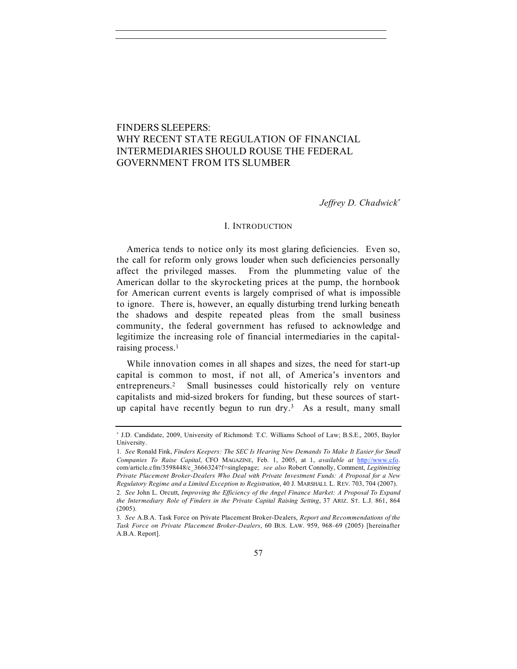# FINDERS SLEEPERS: WHY RECENT STATE REGULATION OF FINANCIAL INTERMEDIARIES SHOULD ROUSE THE FEDERAL GOVERNMENT FROM ITS SLUMBER

*Jeffrey D. Chadwick*<sup>∗</sup>

#### I. INTRODUCTION

America tends to notice only its most glaring deficiencies. Even so, the call for reform only grows louder when such deficiencies personally affect the privileged masses. From the plummeting value of the American dollar to the skyrocketing prices at the pump, the hornbook for American current events is largely comprised of what is impossible to ignore. There is, however, an equally disturbing trend lurking beneath the shadows and despite repeated pleas from the small business community, the federal government has refused to acknowledge and legitimize the increasing role of financial intermediaries in the capitalraising process.<sup>1</sup>

While innovation comes in all shapes and sizes, the need for start-up capital is common to most, if not all, of America's inventors and entrepreneurs.2 Small businesses could historically rely on venture capitalists and mid-sized brokers for funding, but these sources of startup capital have recently begun to run dry. $3$  As a result, many small

<sup>∗</sup> J.D. Candidate, 2009, University of Richmond: T.C. Williams School of Law; B.S.E., 2005, Baylor University.

<sup>1</sup>*. See* Ronald Fink, *Finders Keepers: The SEC Is Hearing New Demands To Make It Easier for Small Companies To Raise Capital*, CFO MAGAZINE, Feb. 1, 2005, at 1, *available at* http://www.cfo. com/article.cfm/3598448/c\_3666324?f=singlepage; *see also* Robert Connolly, Comment, *Legitimizing Private Placement Broker-Dealers Who Deal with Private Investment Funds: A Proposal for a New Regulatory Regime and a Limited Exception to Registration*, 40 J. MARSHALL L. REV. 703, 704 (2007). 2*. See* John L. Orcutt, *Improving the Efficiency of the Angel Finance Market: A Proposal To Expand* 

*the Intermediary Role of Finders in the Private Capital Raising Setting*, 37 ARIZ. ST. L.J. 861, 864 (2005).

<sup>3</sup>*. See* A.B.A. Task Force on Private Placement Broker-Dealers, *Report and Recommendations of the Task Force on Private Placement Broker-Dealers*, 60 BUS. LAW. 959, 968–69 (2005) [hereinafter A.B.A. Report].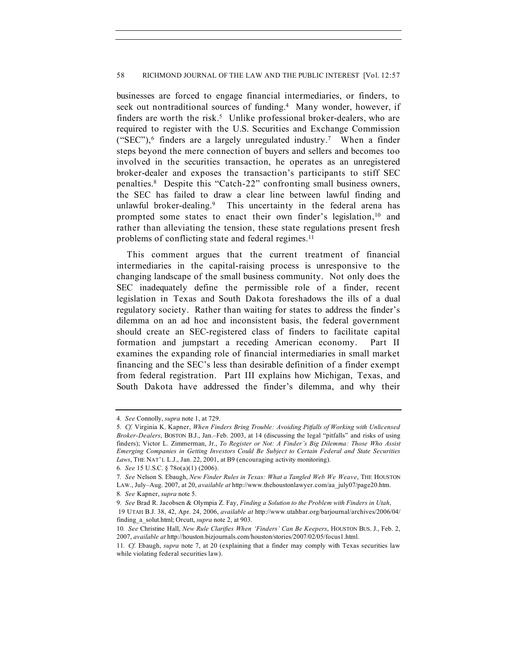businesses are forced to engage financial intermediaries, or finders, to seek out nontraditional sources of funding.<sup>4</sup> Many wonder, however, if finders are worth the risk.<sup>5</sup> Unlike professional broker-dealers, who are required to register with the U.S. Securities and Exchange Commission ("SEC"),<sup>6</sup> finders are a largely unregulated industry.<sup>7</sup> When a finder steps beyond the mere connection of buyers and sellers and becomes too involved in the securities transaction, he operates as an unregistered broker-dealer and exposes the transaction's participants to stiff SEC penalties.8 Despite this "Catch-22" confronting small business owners, the SEC has failed to draw a clear line between lawful finding and unlawful broker-dealing.<sup>9</sup> This uncertainty in the federal arena has prompted some states to enact their own finder's legislation,<sup>10</sup> and rather than alleviating the tension, these state regulations present fresh problems of conflicting state and federal regimes.<sup>11</sup>

This comment argues that the current treatment of financial intermediaries in the capital-raising process is unresponsive to the changing landscape of the small business community. Not only does the SEC inadequately define the permissible role of a finder, recent legislation in Texas and South Dakota foreshadows the ills of a dual regulatory society. Rather than waiting for states to address the finder's dilemma on an ad hoc and inconsistent basis, the federal government should create an SEC-registered class of finders to facilitate capital formation and jumpstart a receding American economy. Part II examines the expanding role of financial intermediaries in small market financing and the SEC's less than desirable definition of a finder exempt from federal registration. Part III explains how Michigan, Texas, and South Dakota have addressed the finder's dilemma, and why their

<sup>4</sup>*. See* Connolly, *supra* note 1, at 729.

<sup>5</sup>*. Cf.* Virginia K. Kapner, *When Finders Bring Trouble: Avoiding Pitfalls of Working with Unlicensed Broker-Dealers*, BOSTON B.J., Jan.–Feb. 2003, at 14 (discussing the legal "pitfalls" and risks of using finders); Victor L. Zimmerman, Jr., *To Register or Not: A Finder's Big Dilemma: Those Who Assist Emerging Companies in Getting Investors Could Be Subject to Certain Federal and State Securities Laws*, THE NAT'L L.J., Jan. 22, 2001, at B9 (encouraging activity monitoring).

<sup>6</sup>*. See* 15 U.S.C. § 78o(a)(1) (2006).

<sup>7</sup>*. See* Nelson S. Ebaugh, *New Finder Rules in Texas: What a Tangled Web We Weave*, THE HOUSTON LAW., July–Aug. 2007, at 20, *available at* http://www.thehoustonlawyer.com/aa\_july07/page20.htm.

<sup>8</sup>*. See* Kapner, *supra* note 5.

<sup>9</sup>*. See* Brad R. Jacobsen & Olympia Z. Fay, *Finding a Solution to the Problem with Finders in Utah*,

 <sup>19</sup> UTAH B.J. 38, 42, Apr. 24, 2006, *available at* http://www.utahbar.org/barjournal/archives/2006/04/ finding\_a\_solut.html; Orcutt, *supra* note 2, at 903.

<sup>10</sup>*. See* Christine Hall, *New Rule Clarifies When 'Finders' Can Be Keepers*, HOUSTON BUS. J., Feb. 2, 2007, *available at* http://houston.bizjournals.com/houston/stories/2007/02/05/focus1.html.

<sup>11</sup>*. Cf.* Ebaugh, *supra* note 7, at 20 (explaining that a finder may comply with Texas securities law while violating federal securities law).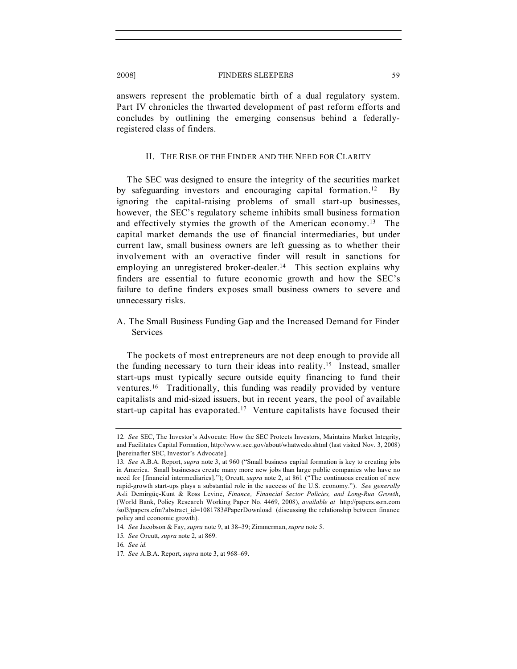answers represent the problematic birth of a dual regulatory system. Part IV chronicles the thwarted development of past reform efforts and concludes by outlining the emerging consensus behind a federallyregistered class of finders.

# II. THE RISE OF THE FINDER AND THE NEED FOR CLARITY

The SEC was designed to ensure the integrity of the securities market by safeguarding investors and encouraging capital formation.12 By ignoring the capital-raising problems of small start-up businesses, however, the SEC's regulatory scheme inhibits small business formation and effectively stymies the growth of the American economy.13 The capital market demands the use of financial intermediaries, but under current law, small business owners are left guessing as to whether their involvement with an overactive finder will result in sanctions for employing an unregistered broker-dealer.<sup>14</sup> This section explains why finders are essential to future economic growth and how the SEC's failure to define finders exposes small business owners to severe and unnecessary risks.

A. The Small Business Funding Gap and the Increased Demand for Finder **Services** 

The pockets of most entrepreneurs are not deep enough to provide all the funding necessary to turn their ideas into reality.15 Instead, smaller start-ups must typically secure outside equity financing to fund their ventures.16 Traditionally, this funding was readily provided by venture capitalists and mid-sized issuers, but in recent years, the pool of available start-up capital has evaporated.17 Venture capitalists have focused their

<sup>12</sup>*. See* SEC, The Investor's Advocate: How the SEC Protects Investors, Maintains Market Integrity, and Facilitates Capital Formation, http://www.sec.gov/about/whatwedo.shtml (last visited Nov. 3, 2008) [hereinafter SEC, Investor's Advocate].

<sup>13</sup>*. See* A.B.A. Report, *supra* note 3, at 960 ("Small business capital formation is key to creating jobs in America. Small businesses create many more new jobs than large public companies who have no need for [financial intermediaries]."); Orcutt, *supra* note 2, at 861 ("The continuous creation of new rapid-growth start-ups plays a substantial role in the success of the U.S. economy."). *See generally* Asli Demirgüç-Kunt & Ross Levine, *Finance, Financial Sector Policies, and Long-Run Growth*, (World Bank, Policy Research Working Paper No. 4469, 2008), *available at* http://papers.ssrn.com /sol3/papers.cfm?abstract\_id=1081783#PaperDownload (discussing the relationship between finance policy and economic growth).

<sup>14</sup>*. See* Jacobson & Fay, *supra* note 9, at 38–39; Zimmerman, *supra* note 5.

<sup>15</sup>*. See* Orcutt, *supra* note 2, at 869.

<sup>16</sup>*. See id.*

<sup>17</sup>*. See* A.B.A. Report, *supra* note 3, at 968–69.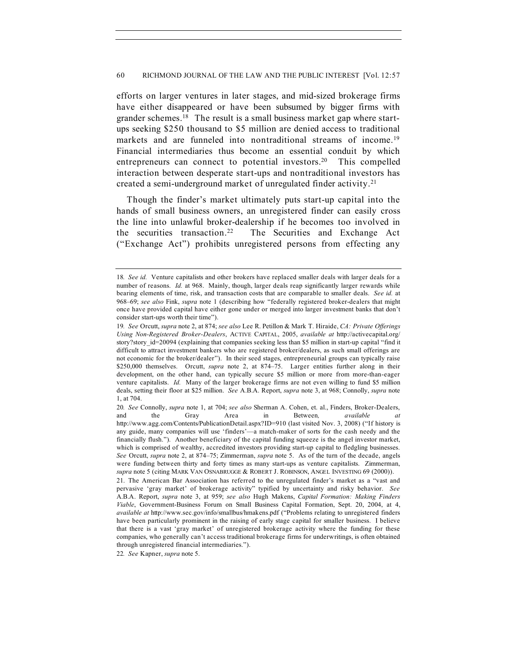efforts on larger ventures in later stages, and mid-sized brokerage firms have either disappeared or have been subsumed by bigger firms with grander schemes.18 The result is a small business market gap where startups seeking \$250 thousand to \$5 million are denied access to traditional markets and are funneled into nontraditional streams of income.<sup>19</sup> Financial intermediaries thus become an essential conduit by which entrepreneurs can connect to potential investors.<sup>20</sup> This compelled interaction between desperate start-ups and nontraditional investors has created a semi-underground market of unregulated finder activity.21

Though the finder's market ultimately puts start-up capital into the hands of small business owners, an unregistered finder can easily cross the line into unlawful broker-dealership if he becomes too involved in the securities transaction.22 The Securities and Exchange Act ("Exchange Act") prohibits unregistered persons from effecting any

22*. See* Kapner, *supra* note 5.

<sup>18</sup>*. See id.* Venture capitalists and other brokers have replaced smaller deals with larger deals for a number of reasons. *Id.* at 968. Mainly, though, larger deals reap significantly larger rewards while bearing elements of time, risk, and transaction costs that are comparable to smaller deals. *See id.* at 968–69; *see also* Fink, *supra* note 1 (describing how "federally registered broker-dealers that might once have provided capital have either gone under or merged into larger investment banks that don't consider start-ups worth their time").

<sup>19</sup>*. See* Orcutt, *supra* note 2, at 874; *see also* Lee R. Petillon & Mark T. Hiraide, *CA: Private Offerings Using Non-Registered Broker-Dealers*, ACTIVE CAPITAL, 2005, *available at* http://activecapital.org/ story?story\_id=20094 (explaining that companies seeking less than \$5 million in start-up capital "find it difficult to attract investment bankers who are registered broker/dealers, as such small offerings are not economic for the broker/dealer"). In their seed stages, entrepreneurial groups can typically raise \$250,000 themselves. Orcutt, *supra* note 2, at 874–75. Larger entities further along in their development, on the other hand, can typically secure \$5 million or more from more-than-eager venture capitalists. *Id.* Many of the larger brokerage firms are not even willing to fund \$5 million deals, setting their floor at \$25 million. *See* A.B.A. Report, *supra* note 3, at 968; Connolly, *supra* note 1, at 704.

<sup>20</sup>*. See* Connolly, *supra* note 1, at 704; *see also* Sherman A. Cohen, et. al., Finders, Broker-Dealers, and the Gray Area in Between*, available at*  http://www.agg.com/Contents/PublicationDetail.aspx?ID=910 (last visited Nov. 3, 2008) ("If history is any guide, many companies will use 'finders'—a match-maker of sorts for the cash needy and the financially flush."). Another beneficiary of the capital funding squeeze is the angel investor market, which is comprised of wealthy, accredited investors providing start-up capital to fledgling businesses. *See* Orcutt, *supra* note 2, at 874–75; Zimmerman, *supra* note 5. As of the turn of the decade, angels were funding between thirty and forty times as many start-ups as venture capitalists. Zimmerman, *supra* note 5 (citing MARK VAN OSNABRUGGE & ROBERT J. ROBINSON, ANGEL INVESTING 69 (2000)).

<sup>21.</sup> The American Bar Association has referred to the unregulated finder's market as a "vast and pervasive 'gray market' of brokerage activity" typified by uncertainty and risky behavior. *See*  A.B.A. Report, *supra* note 3, at 959; *see also* Hugh Makens, *Capital Formation: Making Finders Viable*, Government-Business Forum on Small Business Capital Formation, Sept. 20, 2004, at 4, *available at* http://www.sec.gov/info/smallbus/hmakens.pdf ("Problems relating to unregistered finders have been particularly prominent in the raising of early stage capital for smaller business. I believe that there is a vast 'gray market' of unregistered brokerage activity where the funding for these companies, who generally can't access traditional brokerage firms for underwritings, is often obtained through unregistered financial intermediaries.").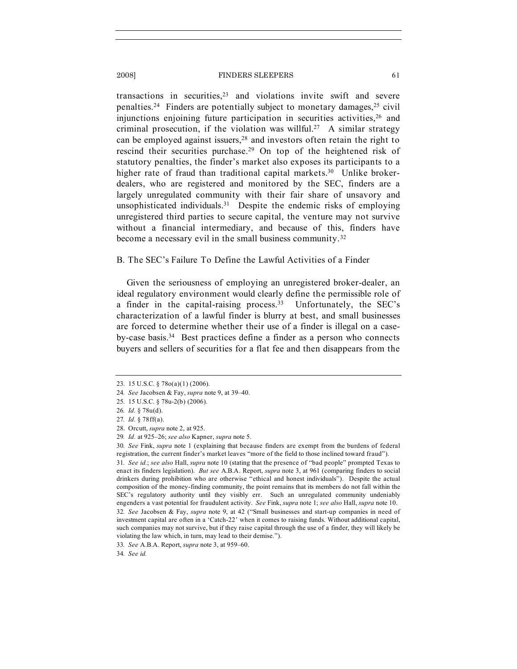transactions in securities, $2<sup>3</sup>$  and violations invite swift and severe penalties.<sup>24</sup> Finders are potentially subject to monetary damages,<sup>25</sup> civil injunctions enjoining future participation in securities activities.<sup>26</sup> and criminal prosecution, if the violation was willful.<sup>27</sup> A similar strategy can be employed against issuers,<sup>28</sup> and investors often retain the right to rescind their securities purchase.29 On top of the heightened risk of statutory penalties, the finder's market also exposes its participants to a higher rate of fraud than traditional capital markets.<sup>30</sup> Unlike brokerdealers, who are registered and monitored by the SEC, finders are a largely unregulated community with their fair share of unsavory and unsophisticated individuals.<sup>31</sup> Despite the endemic risks of employing unregistered third parties to secure capital, the venture may not survive without a financial intermediary, and because of this, finders have become a necessary evil in the small business community.32

# B. The SEC's Failure To Define the Lawful Activities of a Finder

Given the seriousness of employing an unregistered broker-dealer, an ideal regulatory environment would clearly define the permissible role of a finder in the capital-raising process.33 Unfortunately, the SEC's characterization of a lawful finder is blurry at best, and small businesses are forced to determine whether their use of a finder is illegal on a caseby-case basis.34 Best practices define a finder as a person who connects buyers and sellers of securities for a flat fee and then disappears from the

31*. See id.*; *see also* Hall, *supra* note 10 (stating that the presence of "bad people" prompted Texas to enact its finders legislation). *But see* A.B.A. Report, *supra* note 3, at 961 (comparing finders to social drinkers during prohibition who are otherwise "ethical and honest individuals"). Despite the actual composition of the money-finding community, the point remains that its members do not fall within the SEC's regulatory authority until they visibly err. Such an unregulated community undeniably engenders a vast potential for fraudulent activity. *See* Fink, *supra* note 1; *see also* Hall, *supra* note 10. 32*. See* Jacobsen & Fay, *supra* note 9, at 42 ("Small businesses and start-up companies in need of investment capital are often in a 'Catch-22' when it comes to raising funds. Without additional capital, such companies may not survive, but if they raise capital through the use of a finder, they will likely be violating the law which, in turn, may lead to their demise.").

<sup>23.</sup> 15 U.S.C. § 78o(a)(1) (2006).

<sup>24</sup>*. See* Jacobsen & Fay, *supra* note 9, at 39–40.

<sup>25.</sup> 15 U.S.C. § 78u-2(b) (2006).

<sup>26</sup>*. Id.* § 78u(d).

<sup>27</sup>*. Id.* § 78ff(a).

<sup>28.</sup> Orcutt, *supra* note 2, at 925.

<sup>29</sup>*. Id.* at 925–26; *see also* Kapner, *supra* note 5.

<sup>30</sup>*. See* Fink, *supra* note 1 (explaining that because finders are exempt from the burdens of federal registration, the current finder's market leaves "more of the field to those inclined toward fraud").

<sup>33</sup>*. See* A.B.A. Report, *supra* note 3, at 959–60.

<sup>34</sup>*. See id.*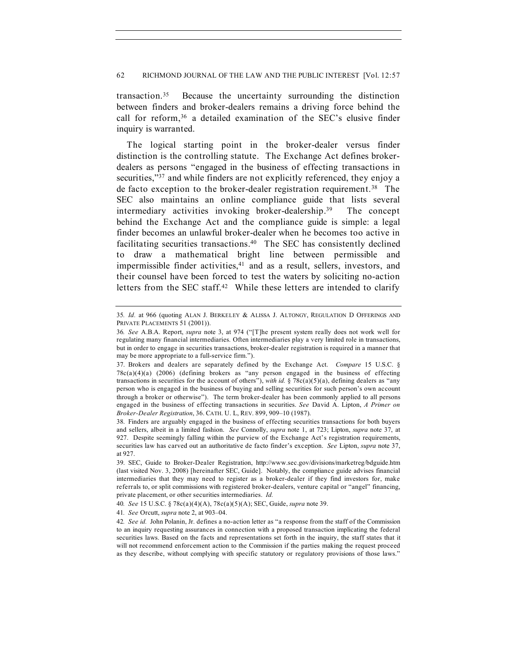transaction.35 Because the uncertainty surrounding the distinction between finders and broker-dealers remains a driving force behind the call for reform,<sup>36</sup> a detailed examination of the SEC's elusive finder inquiry is warranted.

The logical starting point in the broker-dealer versus finder distinction is the controlling statute. The Exchange Act defines brokerdealers as persons "engaged in the business of effecting transactions in securities,"<sup>37</sup> and while finders are not explicitly referenced, they enjoy a de facto exception to the broker-dealer registration requirement.38 The SEC also maintains an online compliance guide that lists several intermediary activities invoking broker-dealership.39 The concept behind the Exchange Act and the compliance guide is simple: a legal finder becomes an unlawful broker-dealer when he becomes too active in facilitating securities transactions.40 The SEC has consistently declined to draw a mathematical bright line between permissible and impermissible finder activities, $41$  and as a result, sellers, investors, and their counsel have been forced to test the waters by soliciting no-action letters from the SEC staff.<sup>42</sup> While these letters are intended to clarify

<sup>35</sup>*. Id.* at 966 (quoting ALAN J. BERKELEY & ALISSA J. ALTONGY, REGULATION D OFFERINGS AND PRIVATE PLACEMENTS 51 (2001)).

<sup>36</sup>*. See* A.B.A. Report, *supra* note 3, at 974 ("[T]he present system really does not work well for regulating many financial intermediaries. Often intermediaries play a very limited role in transactions, but in order to engage in securities transactions, broker-dealer registration is required in a manner that may be more appropriate to a full-service firm.").

<sup>37.</sup> Brokers and dealers are separately defined by the Exchange Act. *Compare* 15 U.S.C. § 78c(a)(4)(a) (2006) (defining brokers as "any person engaged in the business of effecting transactions in securities for the account of others"), *with id.* § 78c(a)(5)(a), defining dealers as "any person who is engaged in the business of buying and selling securities for such person's own account through a broker or otherwise"). The term broker-dealer has been commonly applied to all persons engaged in the business of effecting transactions in securities. *See* David A. Lipton, *A Primer on Broker-Dealer Registration*, 36. CATH. U. L, REV. 899, 909–10 (1987).

<sup>38.</sup> Finders are arguably engaged in the business of effecting securities transactions for both buyers and sellers, albeit in a limited fashion. *See* Connolly, *supra* note 1, at 723; Lipton, *supra* note 37, at 927. Despite seemingly falling within the purview of the Exchange Act's registration requirements, securities law has carved out an authoritative de facto finder's exception. *See* Lipton, *supra* note 37, at 927.

<sup>39.</sup> SEC, Guide to Broker-Dealer Registration, http://www.sec.gov/divisions/marketreg/bdguide.htm (last visited Nov. 3, 2008) [hereinafter SEC, Guide]. Notably, the compliance guide advises financial intermediaries that they may need to register as a broker-dealer if they find investors for, make referrals to, or split commissions with registered broker-dealers, venture capital or "angel" financing, private placement, or other securities intermediaries. *Id.*

<sup>40</sup>*. See* 15 U.S.C. § 78c(a)(4)(A), 78c(a)(5)(A); SEC, Guide, *supra* note 39.

<sup>41</sup>*. See* Orcutt, *supra* note 2, at 903–04.

<sup>42</sup>*. See id.* John Polanin, Jr. defines a no-action letter as "a response from the staff of the Commission to an inquiry requesting assurances in connection with a proposed transaction implicating the federal securities laws. Based on the facts and representations set forth in the inquiry, the staff states that it will not recommend enforcement action to the Commission if the parties making the request proceed as they describe, without complying with specific statutory or regulatory provisions of those laws."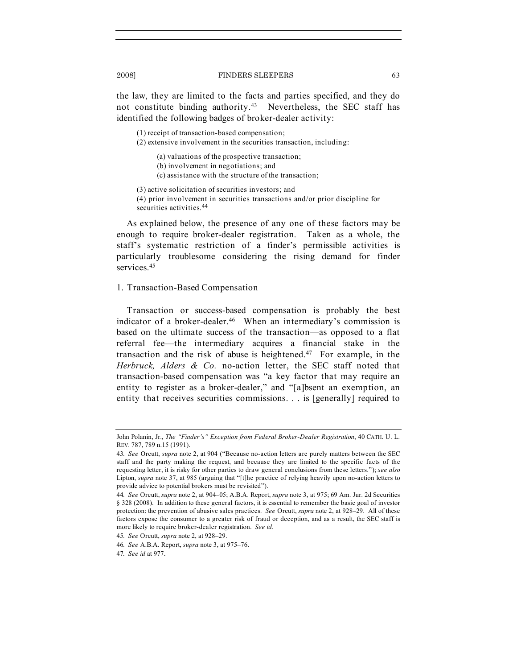the law, they are limited to the facts and parties specified, and they do not constitute binding authority.43 Nevertheless, the SEC staff has identified the following badges of broker-dealer activity:

(1) receipt of transaction-based compensation;

(2) extensive involvement in the securities transaction, including:

(a) valuations of the prospective transaction;

(b) involvement in negotiations; and

(c) assistance with the structure of the transaction;

(3) active solicitation of securities investors; and

(4) prior involvement in securities transactions and/or prior discipline for securities activities.<sup>44</sup>

As explained below, the presence of any one of these factors may be enough to require broker-dealer registration. Taken as a whole, the staff's systematic restriction of a finder's permissible activities is particularly troublesome considering the rising demand for finder services<sup>45</sup>

# 1. Transaction-Based Compensation

Transaction or success-based compensation is probably the best indicator of a broker-dealer.<sup>46</sup> When an intermediary's commission is based on the ultimate success of the transaction—as opposed to a flat referral fee—the intermediary acquires a financial stake in the transaction and the risk of abuse is heightened.<sup>47</sup> For example, in the *Herbruck, Alders & Co.* no-action letter, the SEC staff noted that transaction-based compensation was "a key factor that may require an entity to register as a broker-dealer," and "[a]bsent an exemption, an entity that receives securities commissions. . . is [generally] required to

46*. See* A.B.A. Report, *supra* note 3, at 975–76.

John Polanin, Jr., *The "Finder's" Exception from Federal Broker-Dealer Registration*, 40 CATH. U. L. REV. 787, 789 n.15 (1991).

<sup>43</sup>*. See* Orcutt, *supra* note 2, at 904 ("Because no-action letters are purely matters between the SEC staff and the party making the request, and because they are limited to the specific facts of the requesting letter, it is risky for other parties to draw general conclusions from these letters."); *see also*  Lipton, *supra* note 37, at 985 (arguing that "[t]he practice of relying heavily upon no-action letters to provide advice to potential brokers must be revisited").

<sup>44</sup>*. See* Orcutt, *supra* note 2, at 904–05; A.B.A. Report, *supra* note 3, at 975; 69 Am. Jur. 2d Securities § 328 (2008). In addition to these general factors, it is essential to remember the basic goal of investor protection: the prevention of abusive sales practices. *See* Orcutt, *supra* note 2, at 928–29. All of these factors expose the consumer to a greater risk of fraud or deception, and as a result, the SEC staff is more likely to require broker-dealer registration. *See id.*

<sup>45</sup>*. See* Orcutt, *supra* note 2, at 928–29.

<sup>47</sup>*. See id* at 977.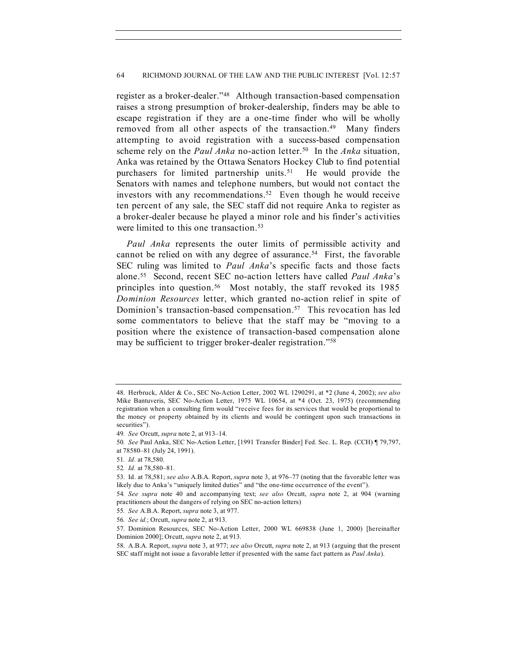register as a broker-dealer."48 Although transaction-based compensation raises a strong presumption of broker-dealership, finders may be able to escape registration if they are a one-time finder who will be wholly removed from all other aspects of the transaction.<sup>49</sup> Many finders attempting to avoid registration with a success-based compensation scheme rely on the *Paul Anka* no-action letter.50 In the *Anka* situation, Anka was retained by the Ottawa Senators Hockey Club to find potential purchasers for limited partnership units.<sup>51</sup> He would provide the Senators with names and telephone numbers, but would not contact the investors with any recommendations.<sup>52</sup> Even though he would receive ten percent of any sale, the SEC staff did not require Anka to register as a broker-dealer because he played a minor role and his finder's activities were limited to this one transaction.<sup>53</sup>

*Paul Anka* represents the outer limits of permissible activity and cannot be relied on with any degree of assurance.<sup>54</sup> First, the favorable SEC ruling was limited to *Paul Anka*'s specific facts and those facts alone.55 Second, recent SEC no-action letters have called *Paul Anka*'s principles into question.<sup>56</sup> Most notably, the staff revoked its 1985 *Dominion Resources* letter, which granted no-action relief in spite of Dominion's transaction-based compensation.57 This revocation has led some commentators to believe that the staff may be "moving to a position where the existence of transaction-based compensation alone may be sufficient to trigger broker-dealer registration."58

<sup>48.</sup> Herbruck, Alder & Co., SEC No-Action Letter, 2002 WL 1290291, at \*2 (June 4, 2002); *see also*  Mike Bantuveris, SEC No-Action Letter, 1975 WL 10654, at \*4 (Oct. 23, 1975) (recommending registration when a consulting firm would "receive fees for its services that would be proportional to the money or property obtained by its clients and would be contingent upon such transactions in securities").

<sup>49</sup>*. See* Orcutt, *supra* note 2, at 913–14.

<sup>50</sup>*. See* Paul Anka, SEC No-Action Letter, [1991 Transfer Binder] Fed. Sec. L. Rep. (CCH) ¶ 79,797, at 78580–81 (July 24, 1991).

<sup>51</sup>*. Id.* at 78,580.

<sup>52</sup>*. Id.* at 78,580–81.

<sup>53.</sup> Id. at 78,581; *see also* A.B.A. Report, *supra* note 3, at 976–77 (noting that the favorable letter was likely due to Anka's "uniquely limited duties" and "the one-time occurrence of the event").

<sup>54</sup>*. See supra* note 40 and accompanying text; *see also* Orcutt, *supra* note 2, at 904 (warning practitioners about the dangers of relying on SEC no-action letters)

<sup>55</sup>*. See* A.B.A. Report, *supra* note 3, at 977.

<sup>56</sup>*. See id.*; Orcutt, *supra* note 2, at 913.

<sup>57.</sup> Dominion Resources, SEC No-Action Letter, 2000 WL 669838 (June 1, 2000) [hereinafter Dominion 2000]; Orcutt, *supra* note 2, at 913.

<sup>58.</sup> A.B.A. Report, *supra* note 3, at 977; *see also* Orcutt, *supra* note 2, at 913 (arguing that the present SEC staff might not issue a favorable letter if presented with the same fact pattern as *Paul Anka*).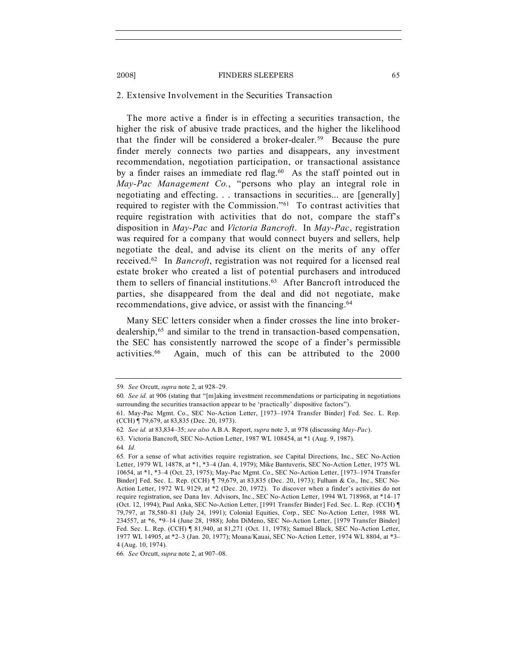#### 2. Extensive Involvement in the Securities Transaction

The more active a finder is in effecting a securities transaction, the higher the risk of abusive trade practices, and the higher the likelihood that the finder will be considered a broker-dealer.<sup>59</sup> Because the pure finder merely connects two parties and disappears, any investment recommendation, negotiation participation, or transactional assistance by a finder raises an immediate red flag.<sup>60</sup> As the staff pointed out in *May-Pac Management Co.*, "persons who play an integral role in negotiating and effecting. . . transactions in securities... are [generally] required to register with the Commission."61 To contrast activities that require registration with activities that do not, compare the staff's disposition in *May-Pac* and *Victoria Bancroft*. In *May-Pac*, registration was required for a company that would connect buyers and sellers, help negotiate the deal, and advise its client on the merits of any offer received.62 In *Bancroft*, registration was not required for a licensed real estate broker who created a list of potential purchasers and introduced them to sellers of financial institutions.63 After Bancroft introduced the parties, she disappeared from the deal and did not negotiate, make recommendations, give advice, or assist with the financing.64

Many SEC letters consider when a finder crosses the line into brokerdealership,65 and similar to the trend in transaction-based compensation, the SEC has consistently narrowed the scope of a finder's permissible activities.66 Again, much of this can be attributed to the 2000

<sup>59</sup>*. See* Orcutt, *supra* note 2, at 928–29.

<sup>60</sup>*. See id.* at 906 (stating that "[m]aking investment recommendations or participating in negotiations surrounding the securities transaction appear to be 'practically' dispositive factors").

<sup>61.</sup> May-Pac Mgmt. Co., SEC No-Action Letter, [1973–1974 Transfer Binder] Fed. Sec. L. Rep. (CCH) ¶ 79,679, at 83,835 (Dec. 20, 1973).

<sup>62</sup>*. See id.* at 83,834–35; *see also* A.B.A. Report, *supra* note 3, at 978 (discussing *May-Pac*).

<sup>63.</sup> Victoria Bancroft, SEC No-Action Letter, 1987 WL 108454, at \*1 (Aug. 9, 1987).

<sup>64</sup>*. Id.*

<sup>65.</sup> For a sense of what activities require registration, see Capital Directions, Inc., SEC No-Action Letter, 1979 WL 14878, at \*1, \*3–4 (Jan. 4, 1979); Mike Bantuveris, SEC No-Action Letter, 1975 WL 10654, at \*1, \*3–4 (Oct. 23, 1975); May-Pac Mgmt. Co., SEC No-Action Letter, [1973–1974 Transfer Binder] Fed. Sec. L. Rep. (CCH) ¶ 79,679, at 83,835 (Dec. 20, 1973); Fulham & Co., Inc., SEC No-Action Letter, 1972 WL 9129, at \*2 (Dec. 20, 1972). To discover when a finder's activities do not require registration, see Dana Inv. Advisors, Inc., SEC No-Action Letter, 1994 WL 718968, at \*14–17 (Oct. 12, 1994); Paul Anka, SEC No-Action Letter, [1991 Transfer Binder] Fed. Sec. L. Rep. (CCH) ¶ 79,797, at 78,580–81 (July 24, 1991); Colonial Equities, Corp., SEC No-Action Letter, 1988 WL 234557, at \*6, \*9–14 (June 28, 1988); John DiMeno, SEC No-Action Letter, [1979 Transfer Binder] Fed. Sec. L. Rep. (CCH) ¶ 81,940, at 81,271 (Oct. 11, 1978); Samuel Black, SEC No-Action Letter, 1977 WL 14905, at \*2–3 (Jan. 20, 1977); Moana/Kauai, SEC No-Action Letter, 1974 WL 8804, at \*3– 4 (Aug. 10, 1974).

<sup>66</sup>*. See* Orcutt, *supra* note 2, at 907–08.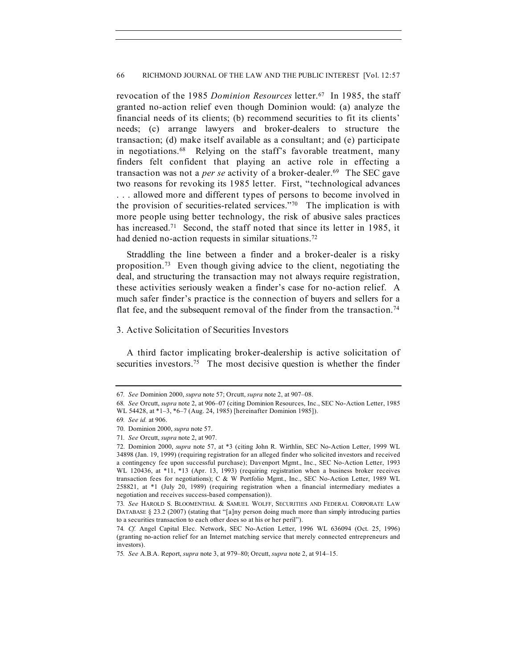revocation of the 1985 *Dominion Resources* letter.67 In 1985, the staff granted no-action relief even though Dominion would: (a) analyze the financial needs of its clients; (b) recommend securities to fit its clients' needs; (c) arrange lawyers and broker-dealers to structure the transaction; (d) make itself available as a consultant; and (e) participate in negotiations.68 Relying on the staff's favorable treatment, many finders felt confident that playing an active role in effecting a transaction was not a *per se* activity of a broker-dealer.69 The SEC gave two reasons for revoking its 1985 letter. First, "technological advances . . . allowed more and different types of persons to become involved in the provision of securities-related services."70 The implication is with more people using better technology, the risk of abusive sales practices has increased.<sup>71</sup> Second, the staff noted that since its letter in 1985, it had denied no-action requests in similar situations.<sup>72</sup>

Straddling the line between a finder and a broker-dealer is a risky proposition.73 Even though giving advice to the client, negotiating the deal, and structuring the transaction may not always require registration, these activities seriously weaken a finder's case for no-action relief. A much safer finder's practice is the connection of buyers and sellers for a flat fee, and the subsequent removal of the finder from the transaction.<sup>74</sup>

# 3. Active Solicitation of Securities Investors

A third factor implicating broker-dealership is active solicitation of securities investors.<sup>75</sup> The most decisive question is whether the finder

<sup>67</sup>*. See* Dominion 2000, *supra* note 57; Orcutt, *supra* note 2, at 907–08.

<sup>68</sup>*. See* Orcutt, *supra* note 2, at 906–07 (citing Dominion Resources, Inc., SEC No-Action Letter, 1985 WL 54428, at \*1–3, \*6–7 (Aug. 24, 1985) [hereinafter Dominion 1985]).

<sup>69</sup>*. See id.* at 906.

<sup>70.</sup> Dominion 2000, *supra* note 57.

<sup>71</sup>*. See* Orcutt, *supra* note 2, at 907.

<sup>72.</sup> Dominion 2000, *supra* note 57, at \*3 (citing John R. Wirthlin, SEC No-Action Letter, 1999 WL 34898 (Jan. 19, 1999) (requiring registration for an alleged finder who solicited investors and received a contingency fee upon successful purchase); Davenport Mgmt., Inc., SEC No-Action Letter, 1993 WL 120436, at \*11, \*13 (Apr. 13, 1993) (requiring registration when a business broker receives transaction fees for negotiations); C & W Portfolio Mgmt., Inc., SEC No-Action Letter, 1989 WL 258821, at \*1 (July 20, 1989) (requiring registration when a financial intermediary mediates a negotiation and receives success-based compensation)).

<sup>73</sup>*. See* HAROLD S. BLOOMENTHAL & SAMUEL WOLFF, SECURITIES AND FEDERAL CORPORATE LAW DATABASE § 23.2 (2007) (stating that "[a]ny person doing much more than simply introducing parties to a securities transaction to each other does so at his or her peril").

<sup>74</sup>*. Cf.* Angel Capital Elec. Network, SEC No-Action Letter, 1996 WL 636094 (Oct. 25, 1996) (granting no-action relief for an Internet matching service that merely connected entrepreneurs and investors).

<sup>75</sup>*. See* A.B.A. Report, *supra* note 3, at 979–80; Orcutt, *supra* note 2, at 914–15.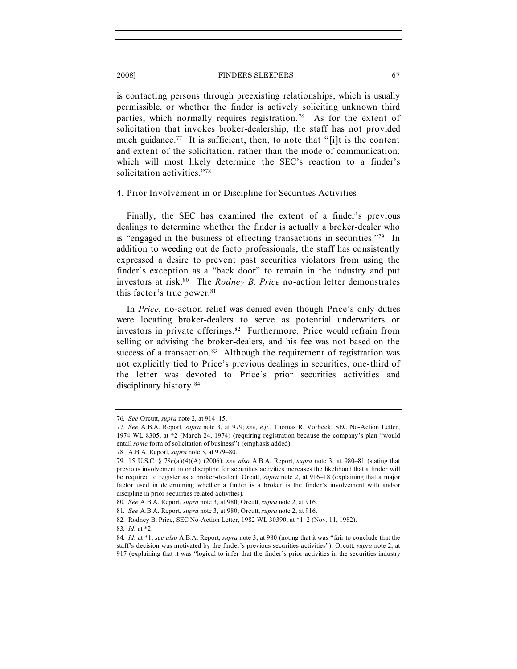is contacting persons through preexisting relationships, which is usually permissible, or whether the finder is actively soliciting unknown third parties, which normally requires registration.<sup>76</sup> As for the extent of solicitation that invokes broker-dealership, the staff has not provided much guidance.<sup>77</sup> It is sufficient, then, to note that "[i]t is the content and extent of the solicitation, rather than the mode of communication, which will most likely determine the SEC's reaction to a finder's solicitation activities."78

#### 4. Prior Involvement in or Discipline for Securities Activities

Finally, the SEC has examined the extent of a finder's previous dealings to determine whether the finder is actually a broker-dealer who is "engaged in the business of effecting transactions in securities."79 In addition to weeding out de facto professionals, the staff has consistently expressed a desire to prevent past securities violators from using the finder's exception as a "back door" to remain in the industry and put investors at risk.80 The *Rodney B. Price* no-action letter demonstrates this factor's true power.<sup>81</sup>

In *Price*, no-action relief was denied even though Price's only duties were locating broker-dealers to serve as potential underwriters or investors in private offerings.82 Furthermore, Price would refrain from selling or advising the broker-dealers, and his fee was not based on the success of a transaction. $83$  Although the requirement of registration was not explicitly tied to Price's previous dealings in securities, one-third of the letter was devoted to Price's prior securities activities and disciplinary history.84

<sup>76</sup>*. See* Orcutt, *supra* note 2, at 914–15.

<sup>77</sup>*. See* A.B.A. Report, *supra* note 3, at 979; *see*, *e.g.*, Thomas R. Vorbeck, SEC No-Action Letter, 1974 WL 8305, at \*2 (March 24, 1974) (requiring registration because the company's plan "would entail *some* form of solicitation of business") (emphasis added).

<sup>78.</sup> A.B.A. Report, *supra* note 3, at 979–80.

<sup>79.</sup> 15 U.S.C. § 78c(a)(4)(A) (2006); *see also* A.B.A. Report, *supra* note 3, at 980–81 (stating that previous involvement in or discipline for securities activities increases the likelihood that a finder will be required to register as a broker-dealer); Orcutt, *supra* note 2, at 916–18 (explaining that a major factor used in determining whether a finder is a broker is the finder's involvement with and/or discipline in prior securities related activities).

<sup>80</sup>*. See* A.B.A. Report, *supra* note 3, at 980; Orcutt, *supra* note 2, at 916.

<sup>81</sup>*. See* A.B.A. Report, *supra* note 3, at 980; Orcutt, *supra* note 2, at 916.

<sup>82.</sup> Rodney B. Price, SEC No-Action Letter, 1982 WL 30390, at \*1–2 (Nov. 11, 1982).

<sup>83</sup>*. Id.* at \*2.

<sup>84</sup>*. Id.* at \*1; *see also* A.B.A. Report, *supra* note 3, at 980 (noting that it was "fair to conclude that the staff's decision was motivated by the finder's previous securities activities"); Orcutt, *supra* note 2, at 917 (explaining that it was "logical to infer that the finder's prior activities in the securities industry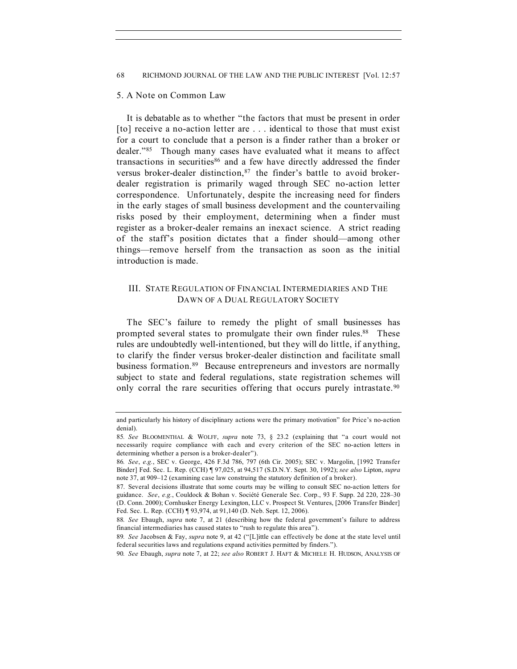# 5. A Note on Common Law

It is debatable as to whether "the factors that must be present in order [to] receive a no-action letter are . . . identical to those that must exist for a court to conclude that a person is a finder rather than a broker or dealer."85 Though many cases have evaluated what it means to affect transactions in securities<sup>86</sup> and a few have directly addressed the finder versus broker-dealer distinction, 87 the finder's battle to avoid brokerdealer registration is primarily waged through SEC no-action letter correspondence. Unfortunately, despite the increasing need for finders in the early stages of small business development and the countervailing risks posed by their employment, determining when a finder must register as a broker-dealer remains an inexact science. A strict reading of the staff's position dictates that a finder should—among other things—remove herself from the transaction as soon as the initial introduction is made.

# III. STATE REGULATION OF FINANCIAL INTERMEDIARIES AND THE DAWN OF A DUAL REGULATORY SOCIETY

The SEC's failure to remedy the plight of small businesses has prompted several states to promulgate their own finder rules.<sup>88</sup> These rules are undoubtedly well-intentioned, but they will do little, if anything, to clarify the finder versus broker-dealer distinction and facilitate small business formation.<sup>89</sup> Because entrepreneurs and investors are normally subject to state and federal regulations, state registration schemes will only corral the rare securities offering that occurs purely intrastate.<sup>90</sup>

and particularly his history of disciplinary actions were the primary motivation" for Price's no-action denial).

<sup>85</sup>*. See* BLOOMENTHAL & WOLFF, *supra* note 73, § 23.2 (explaining that "a court would not necessarily require compliance with each and every criterion of the SEC no-action letters in determining whether a person is a broker-dealer").

<sup>86</sup>*. See*, *e.g.*, SEC v. George, 426 F.3d 786, 797 (6th Cir. 2005); SEC v. Margolin, [1992 Transfer Binder] Fed. Sec. L. Rep. (CCH) ¶ 97,025, at 94,517 (S.D.N.Y. Sept. 30, 1992); *see also* Lipton, *supra*  note 37, at 909–12 (examining case law construing the statutory definition of a broker).

<sup>87.</sup> Several decisions illustrate that some courts may be willing to consult SEC no-action letters for guidance. *See*, *e.g.*, Couldock & Bohan v. Société Generale Sec. Corp., 93 F. Supp. 2d 220, 228–30 (D. Conn. 2000); Cornhusker Energy Lexington, LLC v. Prospect St. Ventures, [2006 Transfer Binder] Fed. Sec. L. Rep. (CCH) ¶ 93,974, at 91,140 (D. Neb. Sept. 12, 2006).

<sup>88</sup>*. See* Ebaugh, *supra* note 7, at 21 (describing how the federal government's failure to address financial intermediaries has caused states to "rush to regulate this area").

<sup>89</sup>*. See* Jacobsen & Fay, *supra* note 9, at 42 ("[L]ittle can effectively be done at the state level until federal securities laws and regulations expand activities permitted by finders.").

<sup>90</sup>*. See* Ebaugh, *supra* note 7, at 22; *see also* ROBERT J. HAFT & MICHELE H. HUDSON, ANALYSIS OF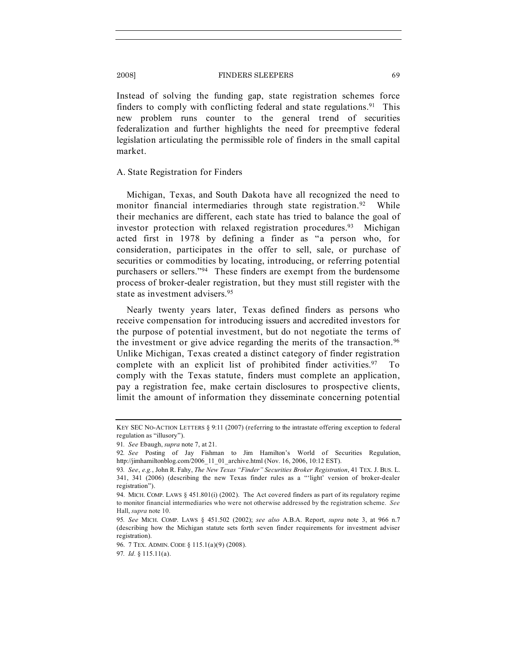Instead of solving the funding gap, state registration schemes force finders to comply with conflicting federal and state regulations.<sup>91</sup> This new problem runs counter to the general trend of securities federalization and further highlights the need for preemptive federal legislation articulating the permissible role of finders in the small capital market.

# A. State Registration for Finders

Michigan, Texas, and South Dakota have all recognized the need to monitor financial intermediaries through state registration.<sup>92</sup> While their mechanics are different, each state has tried to balance the goal of investor protection with relaxed registration procedures.<sup>93</sup> Michigan acted first in 1978 by defining a finder as "a person who, for consideration, participates in the offer to sell, sale, or purchase of securities or commodities by locating, introducing, or referring potential purchasers or sellers."94 These finders are exempt from the burdensome process of broker-dealer registration, but they must still register with the state as investment advisers.<sup>95</sup>

Nearly twenty years later, Texas defined finders as persons who receive compensation for introducing issuers and accredited investors for the purpose of potential investment, but do not negotiate the terms of the investment or give advice regarding the merits of the transaction.<sup>96</sup> Unlike Michigan, Texas created a distinct category of finder registration complete with an explicit list of prohibited finder activities. $97$  To comply with the Texas statute, finders must complete an application, pay a registration fee, make certain disclosures to prospective clients, limit the amount of information they disseminate concerning potential

96. 7 TEX. ADMIN. CODE § 115.1(a)(9) (2008).

KEY SEC NO-ACTION LETTERS § 9:11 (2007) (referring to the intrastate offering exception to federal regulation as "illusory").

<sup>91</sup>*. See* Ebaugh, *supra* note 7, at 21.

<sup>92</sup>*. See* Posting of Jay Fishman to Jim Hamilton's World of Securities Regulation, http://jimhamiltonblog.com/2006\_11\_01\_archive.html (Nov. 16, 2006, 10:12 EST).

<sup>93</sup>*. See*, *e.g.*, John R. Fahy, *The New Texas "Finder" Securities Broker Registration*, 41 TEX. J. BUS. L. 341, 341 (2006) (describing the new Texas finder rules as a "'light' version of broker-dealer registration").

<sup>94.</sup> MICH. COMP. LAWS § 451.801(i) (2002). The Act covered finders as part of its regulatory regime to monitor financial intermediaries who were not otherwise addressed by the registration scheme. *See*  Hall, *supra* note 10.

<sup>95</sup>*. See* MICH. COMP. LAWS § 451.502 (2002); *see also* A.B.A. Report, *supra* note 3, at 966 n.7 (describing how the Michigan statute sets forth seven finder requirements for investment adviser registration).

<sup>97</sup>*. Id.* § 115.11(a).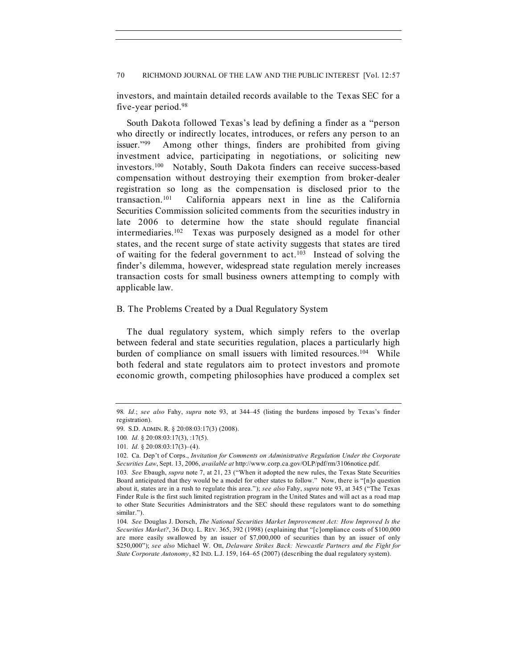investors, and maintain detailed records available to the Texas SEC for a five-year period.98

South Dakota followed Texas's lead by defining a finder as a "person who directly or indirectly locates, introduces, or refers any person to an issuer."99 Among other things, finders are prohibited from giving investment advice, participating in negotiations, or soliciting new investors.100 Notably, South Dakota finders can receive success-based compensation without destroying their exemption from broker-dealer registration so long as the compensation is disclosed prior to the transaction.101 California appears next in line as the California Securities Commission solicited comments from the securities industry in late 2006 to determine how the state should regulate financial intermediaries.102 Texas was purposely designed as a model for other states, and the recent surge of state activity suggests that states are tired of waiting for the federal government to act.103 Instead of solving the finder's dilemma, however, widespread state regulation merely increases transaction costs for small business owners attempting to comply with applicable law.

# B. The Problems Created by a Dual Regulatory System

The dual regulatory system, which simply refers to the overlap between federal and state securities regulation, places a particularly high burden of compliance on small issuers with limited resources.<sup>104</sup> While both federal and state regulators aim to protect investors and promote economic growth, competing philosophies have produced a complex set

<sup>98</sup>*. Id.*; *see also* Fahy, *supra* note 93, at 344–45 (listing the burdens imposed by Texas's finder registration).

<sup>99.</sup> S.D. ADMIN. R. § 20:08:03:17(3) (2008).

<sup>100</sup>*. Id.* § 20:08:03:17(3), :17(5).

<sup>101</sup>*. Id.* § 20:08:03:17(3)–(4).

<sup>102.</sup> Ca. Dep't of Corps., *Invitation for Comments on Administrative Regulation Under the Corporate Securities Law*, Sept. 13, 2006, *available at* http://www.corp.ca.gov/OLP/pdf/rm/3106notice.pdf.

<sup>103</sup>*. See* Ebaugh, *supra* note 7, at 21, 23 ("When it adopted the new rules, the Texas State Securities Board anticipated that they would be a model for other states to follow." Now, there is "[n]o question about it, states are in a rush to regulate this area."); *see also* Fahy, *supra* note 93, at 345 ("The Texas Finder Rule is the first such limited registration program in the United States and will act as a road map to other State Securities Administrators and the SEC should these regulators want to do something similar.").

<sup>104</sup>*. See* Douglas J. Dorsch, *The National Securities Market Improvement Act: How Improved Is the Securities Market?*, 36 DUQ. L. REV. 365, 392 (1998) (explaining that "[c]ompliance costs of \$100,000 are more easily swallowed by an issuer of \$7,000,000 of securities than by an issuer of only \$250,000"); *see also* Michael W. Ott, *Delaware Strikes Back: Newcastle Partners and the Fight for State Corporate Autonomy*, 82 IND. L.J. 159, 164–65 (2007) (describing the dual regulatory system).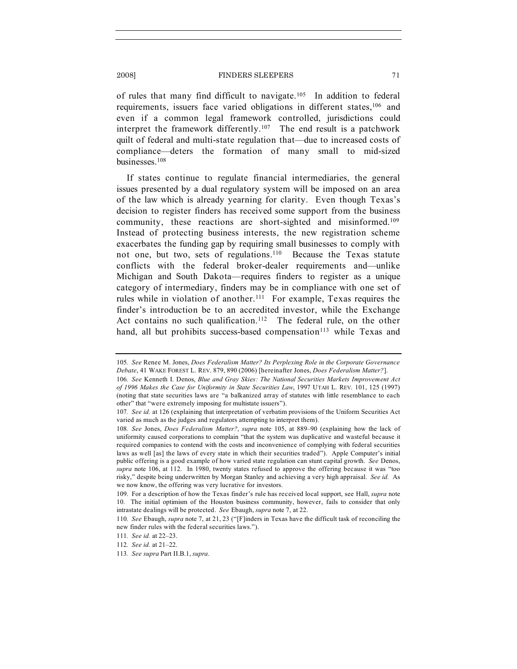of rules that many find difficult to navigate.105 In addition to federal requirements, issuers face varied obligations in different states,<sup>106</sup> and even if a common legal framework controlled, jurisdictions could interpret the framework differently.<sup>107</sup> The end result is a patchwork quilt of federal and multi-state regulation that—due to increased costs of compliance—deters the formation of many small to mid-sized businesses.108

If states continue to regulate financial intermediaries, the general issues presented by a dual regulatory system will be imposed on an area of the law which is already yearning for clarity. Even though Texas's decision to register finders has received some support from the business community, these reactions are short-sighted and misinformed.109 Instead of protecting business interests, the new registration scheme exacerbates the funding gap by requiring small businesses to comply with not one, but two, sets of regulations.<sup>110</sup> Because the Texas statute conflicts with the federal broker-dealer requirements and—unlike Michigan and South Dakota—requires finders to register as a unique category of intermediary, finders may be in compliance with one set of rules while in violation of another.<sup>111</sup> For example, Texas requires the finder's introduction be to an accredited investor, while the Exchange Act contains no such qualification.<sup>112</sup> The federal rule, on the other hand, all but prohibits success-based compensation<sup>113</sup> while Texas and

<sup>105</sup>*. See* Renee M. Jones, *Does Federalism Matter? Its Perplexing Role in the Corporate Governance Debate*, 41 WAKE FOREST L. REV. 879, 890 (2006) [hereinafter Jones, *Does Federalism Matter?*].

<sup>106</sup>*. See* Kenneth I. Denos, *Blue and Gray Skies: The National Securities Markets Improvement Act of 1996 Makes the Case for Uniformity in State Securities Law*, 1997 UTAH L. REV. 101, 125 (1997) (noting that state securities laws are "a balkanized array of statutes with little resemblance to each other" that "were extremely imposing for multistate issuers").

<sup>107</sup>*. See id.* at 126 (explaining that interpretation of verbatim provisions of the Uniform Securities Act varied as much as the judges and regulators attempting to interpret them).

<sup>108</sup>*. See* Jones, *Does Federalism Matter?*, *supra* note 105, at 889–90 (explaining how the lack of uniformity caused corporations to complain "that the system was duplicative and wasteful because it required companies to contend with the costs and inconvenience of complying with federal securities laws as well [as] the laws of every state in which their securities traded"). Apple Computer's initial public offering is a good example of how varied state regulation can stunt capital growth. *See* Denos, *supra* note 106, at 112. In 1980, twenty states refused to approve the offering because it was "too risky," despite being underwritten by Morgan Stanley and achieving a very high appraisal. *See id.* As we now know, the offering was very lucrative for investors.

<sup>109.</sup> For a description of how the Texas finder's rule has received local support, see Hall, *supra* note 10. The initial optimism of the Houston business community, however, fails to consider that only intrastate dealings will be protected. *See* Ebaugh, *supra* note 7, at 22.

<sup>110</sup>*. See* Ebaugh, *supra* note 7, at 21, 23 ("[F]inders in Texas have the difficult task of reconciling the new finder rules with the federal securities laws.").

<sup>111</sup>*. See id.* at 22–23.

<sup>112</sup>*. See id.* at 21–22.

<sup>113</sup>*. See supra* Part II.B.1, *supra*.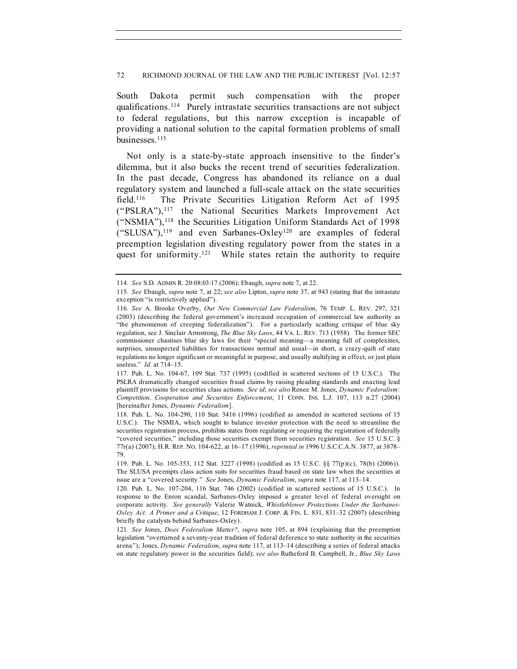South Dakota permit such compensation with the proper qualifications.114 Purely intrastate securities transactions are not subject to federal regulations, but this narrow exception is incapable of providing a national solution to the capital formation problems of small businesses.115

Not only is a state-by-state approach insensitive to the finder's dilemma, but it also bucks the recent trend of securities federalization. In the past decade, Congress has abandoned its reliance on a dual regulatory system and launched a full-scale attack on the state securities field.<sup>116</sup> The Private Securities Litigation Reform Act of 1995 ("PSLRA"),117 the National Securities Markets Improvement Act ("NSMIA"),118 the Securities Litigation Uniform Standards Act of 1998 ("SLUSA"),119 and even Sarbanes-Oxley120 are examples of federal preemption legislation divesting regulatory power from the states in a quest for uniformity.<sup>121</sup> While states retain the authority to require

<sup>114</sup>*. See* S.D. ADMIN R. 20:08:03:17 (2006); Ebaugh, *supra* note 7, at 22.

<sup>115</sup>*. See* Ebaugh, *supra* note 7, at 22; *see also* Lipton, *supra* note 37, at 943 (stating that the intrastate exception "is restrictively applied").

<sup>116</sup>*. See* A. Brooke Overby, *Our New Commercial Law Federalism*, 76 TEMP. L. REV. 297, 321 (2003) (describing the federal government's increased occupation of commercial law authority as "the phenomenon of creeping federalization"). For a particularly scathing critique of blue sky regulation, see J. Sinclair Armstrong, *The Blue Sky Laws*, 44 VA. L. REV. 713 (1958). The former SEC commissioner chastises blue sky laws for their "special meaning—a meaning full of complexities, surprises, unsuspected liabilities for transactions normal and usual—in short, a crazy-quilt of state regulations no longer significant or meaningful in purpose, and usually stultifying in effect, or just plain useless." *Id.* at 714–15.

<sup>117.</sup> Pub. L. No. 104-67, 109 Stat. 737 (1995) (codified in scattered sections of 15 U.S.C.). The PSLRA dramatically changed securities fraud claims by raising pleading standards and enacting lead plaintiff provisions for securities class actions. *See id*; *see also* Renee M. Jones, *Dynamic Federalism: Competition, Cooperation and Securities Enforcement*, 11 CONN. INS. L.J. 107, 113 n.27 (2004) [hereinafter Jones, *Dynamic Federalism*].

<sup>118.</sup> Pub. L. No. 104-290, 110 Stat. 3416 (1996) (codified as amended in scattered sections of 15 U.S.C.). The NSMIA, which sought to balance investor protection with the need to streamline the securities registration process, prohibits states from regulating or requiring the registration of federally "covered securities," including those securities exempt from securities registration. *See* 15 U.S.C. § 77r(a) (2007); H.R. REP. NO. 104-622, at 16–17 (1996), *reprinted in* 1996 U.S.C.C.A.N. 3877, at 3878– 79.

<sup>119.</sup> Pub. L. No. 105-353, 112 Stat. 3227 (1998) (codified as 15 U.S.C. §§ 77(p)(c), 78(b) (2006)). The SLUSA preempts class action suits for securities fraud based on state law when the securities at issue are a "covered security." *See* Jones, *Dynamic Federalism*, *supra* note 117, at 113–14.

<sup>120.</sup> Pub. L. No. 107-204, 116 Stat. 746 (2002) (codified in scattered sections of 15 U.S.C.). In response to the Enron scandal, Sarbanes-Oxley imposed a greater level of federal oversight on corporate activity. *See generally* Valerie Watnick, *Whistleblower Protections Under the Sarbanes-Oxley Act: A Primer and a Critique*, 12 FORDHAM J. CORP. & FIN. L. 831, 831–32 (2007) (describing briefly the catalysts behind Sarbanes-Oxley).

<sup>121</sup>*. See* Jones, *Does Federalism Matter?*, *supra* note 105, at 894 (explaining that the preemption legislation "overturned a seventy-year tradition of federal deference to state authority in the securities arena"); Jones, *Dynamic Federalism*, *supra* note 117, at 113–14 (describing a series of federal attacks on state regulatory power in the securities field); *see also* Rutheford B. Campbell, Jr., *Blue Sky Laws*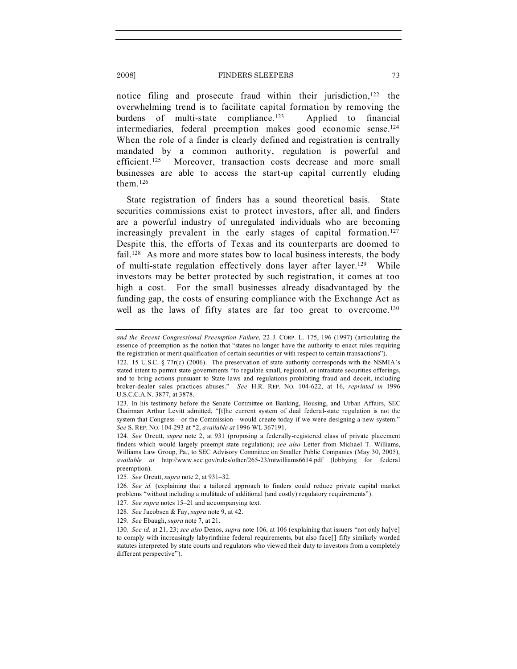notice filing and prosecute fraud within their jurisdiction, $122$  the overwhelming trend is to facilitate capital formation by removing the burdens of multi-state compliance.123 Applied to financial intermediaries, federal preemption makes good economic sense.124 When the role of a finder is clearly defined and registration is centrally mandated by a common authority, regulation is powerful and efficient.<sup>125</sup> Moreover, transaction costs decrease and more small businesses are able to access the start-up capital currently eluding them $126$ 

State registration of finders has a sound theoretical basis. State securities commissions exist to protect investors, after all, and finders are a powerful industry of unregulated individuals who are becoming increasingly prevalent in the early stages of capital formation.<sup>127</sup> Despite this, the efforts of Texas and its counterparts are doomed to fail.<sup>128</sup> As more and more states bow to local business interests, the body of multi-state regulation effectively dons layer after layer.129 While investors may be better protected by such registration, it comes at too high a cost. For the small businesses already disadvantaged by the funding gap, the costs of ensuring compliance with the Exchange Act as well as the laws of fifty states are far too great to overcome.<sup>130</sup>

129*. See* Ebaugh, *supra* note 7, at 21.

*and the Recent Congressional Preemption Failure*, 22 J. CORP. L. 175, 196 (1997) (articulating the essence of preemption as the notion that "states no longer have the authority to enact rules requiring the registration or merit qualification of certain securities or with respect to certain transactions").

<sup>122.</sup> 15 U.S.C. § 77r(c) (2006). The preservation of state authority corresponds with the NSMIA's stated intent to permit state governments "to regulate small, regional, or intrastate securities offerings, and to bring actions pursuant to State laws and regulations prohibiting fraud and deceit, including broker-dealer sales practices abuses." *See* H.R. REP. NO. 104-622, at 16, *reprinted in* 1996 U.S.C.C.A.N. 3877, at 3878.

<sup>123.</sup> In his testimony before the Senate Committee on Banking, Housing, and Urban Affairs, SEC Chairman Arthur Levitt admitted, "[t]he current system of dual federal-state regulation is not the system that Congress—or the Commission—would create today if we were designing a new system." *See* S. REP. NO. 104-293 at \*2, *available at* 1996 WL 367191.

<sup>124</sup>*. See* Orcutt, *supra* note 2, at 931 (proposing a federally-registered class of private placement finders which would largely preempt state regulation); *see also* Letter from Michael T. Williams, Williams Law Group, Pa., to SEC Advisory Committee on Smaller Public Companies (May 30, 2005), *available at* http://www.sec.gov/rules/other/265-23/mtwilliams6614.pdf (lobbying for federal preemption).

<sup>125</sup>*. See* Orcutt, *supra* note 2, at 931–32.

<sup>126</sup>*. See id.* (explaining that a tailored approach to finders could reduce private capital market problems "without including a multitude of additional (and costly) regulatory requirements").

<sup>127</sup>*. See supra* notes 15–21 and accompanying text.

<sup>128</sup>*. See* Jacobsen & Fay, *supra* note 9, at 42.

<sup>130</sup>*. See id.* at 21, 23; *see also* Denos, *supra* note 106, at 106 (explaining that issuers "not only ha[ve] to comply with increasingly labyrinthine federal requirements, but also face[] fifty similarly worded statutes interpreted by state courts and regulators who viewed their duty to investors from a completely different perspective").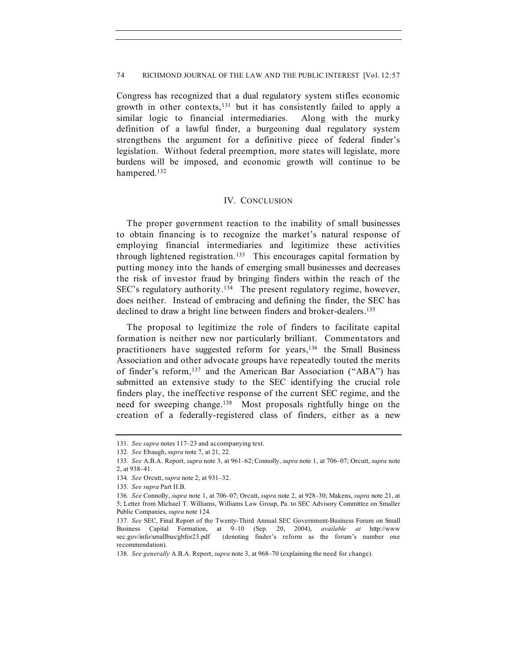Congress has recognized that a dual regulatory system stifles economic growth in other contexts,131 but it has consistently failed to apply a similar logic to financial intermediaries. Along with the murky definition of a lawful finder, a burgeoning dual regulatory system strengthens the argument for a definitive piece of federal finder's legislation. Without federal preemption, more states will legislate, more burdens will be imposed, and economic growth will continue to be hampered.132

# IV. CONCLUSION

The proper government reaction to the inability of small businesses to obtain financing is to recognize the market's natural response of employing financial intermediaries and legitimize these activities through lightened registration.<sup>133</sup> This encourages capital formation by putting money into the hands of emerging small businesses and decreases the risk of investor fraud by bringing finders within the reach of the SEC's regulatory authority.134 The present regulatory regime, however, does neither. Instead of embracing and defining the finder, the SEC has declined to draw a bright line between finders and broker-dealers.<sup>135</sup>

The proposal to legitimize the role of finders to facilitate capital formation is neither new nor particularly brilliant. Commentators and practitioners have suggested reform for years,136 the Small Business Association and other advocate groups have repeatedly touted the merits of finder's reform,<sup>137</sup> and the American Bar Association ("ABA") has submitted an extensive study to the SEC identifying the crucial role finders play, the ineffective response of the current SEC regime, and the need for sweeping change.138 Most proposals rightfully hinge on the creation of a federally-registered class of finders, either as a new

<sup>131</sup>*. See supra* notes 117–23 and accompanying text.

<sup>132</sup>*. See* Ebaugh, *supra* note 7, at 21, 22.

<sup>133</sup>*. See* A.B.A. Report, *supra* note 3, at 961–62; Connolly, *supra* note 1, at 706–07; Orcutt, *supra* note 2, at 938–41.

<sup>134</sup>*. See* Orcutt, *supra* note 2, at 931–32.

<sup>135</sup>*. See supra* Part II.B.

<sup>136</sup>*. See* Connolly, *supra* note 1, at 706–07; Orcutt, *supra* note 2, at 928–30; Makens, *supra* note 21, at 5; Letter from Michael T. Williams, Williams Law Group, Pa. to SEC Advisory Committee on Smaller Public Companies, *supra* note 124.

<sup>137</sup>*. See* SEC, Final Report of the Twenty-Third Annual SEC Government-Business Forum on Small Business Capital Formation, at 9–10 (Sep. 20, 2004), *available at* http://www sec.gov/info/smallbus/gbfor23.pdf (denoting finder's reform as the forum's number one recommendation).

<sup>138</sup>*. See generally* A.B.A. Report, *supra* note 3, at 968–70 (explaining the need for change).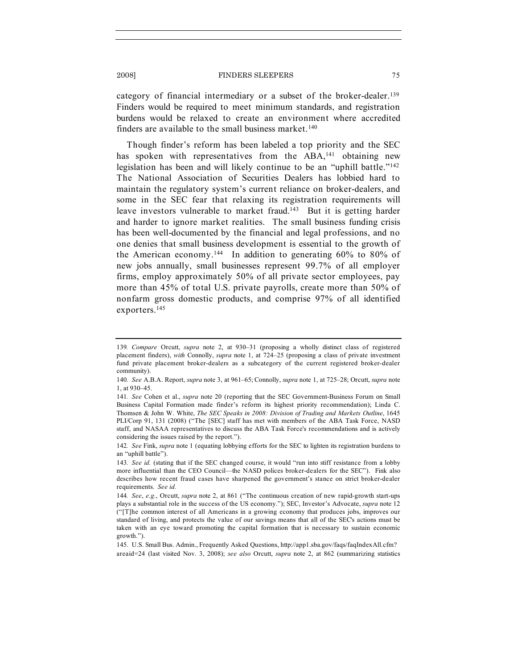category of financial intermediary or a subset of the broker-dealer.139 Finders would be required to meet minimum standards, and registration burdens would be relaxed to create an environment where accredited finders are available to the small business market.<sup>140</sup>

Though finder's reform has been labeled a top priority and the SEC has spoken with representatives from the ABA,<sup>141</sup> obtaining new legislation has been and will likely continue to be an "uphill battle."<sup>142</sup> The National Association of Securities Dealers has lobbied hard to maintain the regulatory system's current reliance on broker-dealers, and some in the SEC fear that relaxing its registration requirements will leave investors vulnerable to market fraud.<sup>143</sup> But it is getting harder and harder to ignore market realities. The small business funding crisis has been well-documented by the financial and legal professions, and no one denies that small business development is essential to the growth of the American economy.<sup>144</sup> In addition to generating  $60\%$  to 80% of new jobs annually, small businesses represent 99.7% of all employer firms, employ approximately 50% of all private sector employees, pay more than 45% of total U.S. private payrolls, create more than 50% of nonfarm gross domestic products, and comprise 97% of all identified exporters.145

<sup>139</sup>*. Compare* Orcutt, *supra* note 2, at 930–31 (proposing a wholly distinct class of registered placement finders), *with* Connolly, *supra* note 1, at 724–25 (proposing a class of private investment fund private placement broker-dealers as a subcategory of the current registered broker-dealer community).

<sup>140</sup>*. See* A.B.A. Report, *supra* note 3, at 961–65; Connolly, *supra* note 1, at 725–28; Orcutt, *supra* note 1, at 930–45.

<sup>141</sup>*. See* Cohen et al., *supra* note 20 (reporting that the SEC Government-Business Forum on Small Business Capital Formation made finder's reform its highest priority recommendation); Linda C. Thomsen & John W. White, *The SEC Speaks in 2008: Division of Trading and Markets Outline*, 1645 PLI/Corp 91, 131 (2008) ("The [SEC] staff has met with members of the ABA Task Force, NASD staff, and NASAA representatives to discuss the ABA Task Force's recommendations and is actively considering the issues raised by the report.").

<sup>142</sup>*. See* Fink, *supra* note 1 (equating lobbying efforts for the SEC to lighten its registration burdens to an "uphill battle").

<sup>143</sup>*. See id.* (stating that if the SEC changed course, it would "run into stiff resistance from a lobby more influential than the CEO Council—the NASD polices broker-dealers for the SEC"). Fink also describes how recent fraud cases have sharpened the government's stance on strict broker-dealer requirements. *See id.*

<sup>144</sup>*. See*, *e.g.*, Orcutt, *supra* note 2, at 861 ("The continuous creation of new rapid-growth start-ups plays a substantial role in the success of the US economy."); SEC, Investor's Advocate, *supra* note 12 ("[T]he common interest of all Americans in a growing economy that produces jobs, improves our standard of living, and protects the value of our savings means that all of the SEC's actions must be taken with an eye toward promoting the capital formation that is necessary to sustain economic growth.").

<sup>145.</sup> U.S. Small Bus. Admin., Frequently Asked Questions, http://app1.sba.gov/faqs/faqIndexAll.cfm? areaid=24 (last visited Nov. 3, 2008); *see also* Orcutt, *supra* note 2, at 862 (summarizing statistics